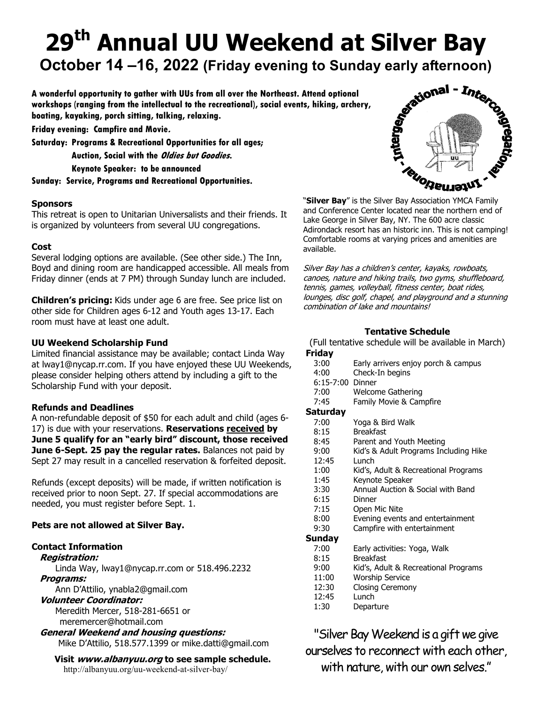# 29<sup>th</sup> Annual UU Weekend at Silver Bay

october 14 –16, 2022 (Friday evening to Sunday early afternoon)<br>wonderful opportunity to gather with UUs from all over the Northeast. Attend optional<br>orkshops (ranging from the intellectual to the recreational), social eve A wonderful opportunity to gather with UUs from all over the Northeast. Attend optional workshops (ranging from the intellectual to the recreational), social events, hiking, archery, boating, kayaking, porch sitting, talking, relaxing.

Friday evening: Campfire and Movie.

Saturday: Programs & Recreational Opportunities for all ages;

Auction, Social with the *Oldies but Goodies*. Keynote Speaker: to be announced

Sunday: Service, Programs and Recreational Opportunities.

#### Sponsors

This retreat is open to Unitarian Universalists and their friends. It is organized by volunteers from several UU congregations.

#### Cost

Several lodging options are available. (See other side.) The Inn, Boyd and dining room are handicapped accessible. All meals from Friday dinner (ends at 7 PM) through Sunday lunch are included.

Children's pricing: Kids under age 6 are free. See price list on other side for Children ages 6-12 and Youth ages 13-17. Each room must have at least one adult.

#### UU Weekend Scholarship Fund

Limited financial assistance may be available; contact Linda Way at lway1@nycap.rr.com. If you have enjoyed these UU Weekends, please consider helping others attend by including a gift to the Scholarship Fund with your deposit.

#### Refunds and Deadlines

A non-refundable deposit of \$50 for each adult and child (ages 6- 17) is due with your reservations. Reservations received by June 5 qualify for an "early bird" discount, those received June 6-Sept. 25 pay the regular rates. Balances not paid by Sept 27 may result in a cancelled reservation & forfeited deposit.

Refunds (except deposits) will be made, if written notification is received prior to noon Sept. 27. If special accommodations are needed, you must register before Sept. 1.

#### Pets are not allowed at Silver Bay.

## Contact Information

Registration:

Linda Way, lway1@nycap.rr.com or 518.496.2232

#### Programs:

Ann D'Attilio, ynabla2@gmail.com

#### Volunteer Coordinator:

Meredith Mercer, 518-281-6651 or

meremercer@hotmail.com

General Weekend and housing questions: Mike D'Attilio, 518.577.1399 or mike.datti@gmail.com

Visit www.albanyuu.org to see sample schedule.

http://albanyuu.org/uu-weekend-at-silver-bay/



"Silver Bay" is the Silver Bay Association YMCA Family and Conference Center located near the northern end of Lake George in Silver Bay, NY. The 600 acre classic Adirondack resort has an historic inn. This is not camping! Comfortable rooms at varying prices and amenities are available.

Silver Bay has a children's center, kayaks, rowboats, canoes, nature and hiking trails, two gyms, shuffleboard, tennis, games, volleyball, fitness center, boat rides, lounges, disc golf, chapel, and playground and a stunning combination of lake and mountains!

## Tentative Schedule

(Full tentative schedule will be available in March)

#### Friday

- 3:00 Early arrivers enjoy porch & campus
- 4:00 Check-In begins
- 6:15-7:00 Dinner
- 7:00 Welcome Gathering
- 7:45 Family Movie & Campfire

#### Saturday

| 7:00                 | Yoga & Bird Walk                      |
|----------------------|---------------------------------------|
| 8:15                 | <b>Breakfast</b>                      |
| 8:45                 | Parent and Youth Meeting              |
| 9:00                 | Kid's & Adult Programs Including Hike |
| 12:45                | Lunch                                 |
| 1:00                 | Kid's, Adult & Recreational Programs  |
| 1:45                 | Keynote Speaker                       |
| 3:30                 | Annual Auction & Social with Band     |
| $c \cdot 1$ $\Gamma$ | n:                                    |

- 6:15 Dinner
- 7:15 Open Mic Nite
- 8:00 Evening events and entertainment
- 9:30 Campfire with entertainment

#### Sunday

- 7:00 Early activities: Yoga, Walk
- 8:15 Breakfast
- 9:00 Kid's, Adult & Recreational Programs
- 11:00 Worship Service
- 12:30 Closing Ceremony
- 12:45 Lunch
- 1:30 Departure

"Silver Bay Weekend is a gift we give ourselves to reconnect with each other, with nature, with our own selves."